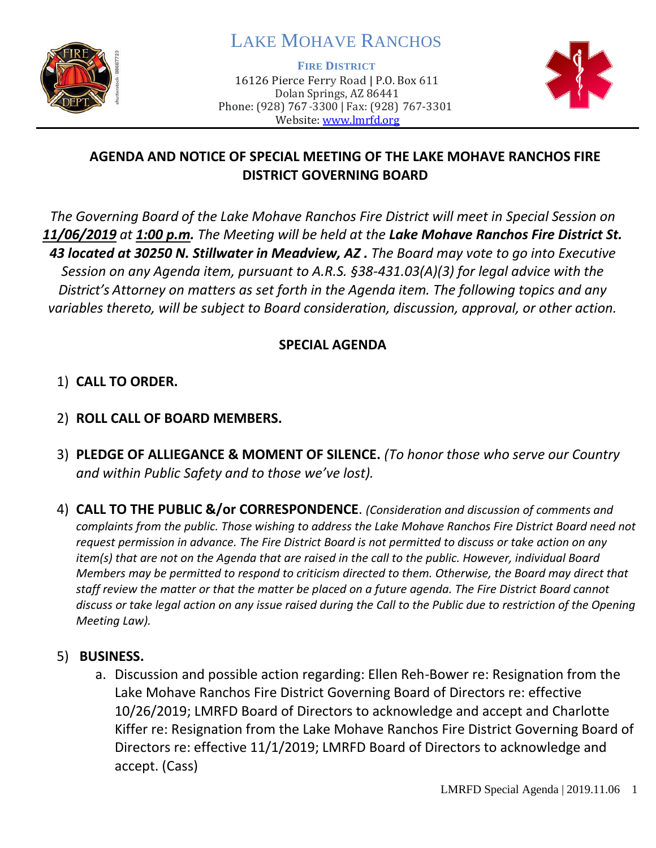

# LAKE MOHAVE RANCHOS

**FIRE DISTRICT**

16126 Pierce Ferry Road | P.O. Box 611 Dolan Springs, AZ 86441 Phone: (928) 767-3300 | Fax: (928) 767-3301 Website: [www.lmrfd.org](http://www.lmrfd.org/)



# **AGENDA AND NOTICE OF SPECIAL MEETING OF THE LAKE MOHAVE RANCHOS FIRE DISTRICT GOVERNING BOARD**

*The Governing Board of the Lake Mohave Ranchos Fire District will meet in Special Session on 11/06/2019 at 1:00 p.m. The Meeting will be held at the Lake Mohave Ranchos Fire District St. 43 located at 30250 N. Stillwater in Meadview, AZ . The Board may vote to go into Executive Session on any Agenda item, pursuant to A.R.S. §38-431.03(A)(3) for legal advice with the District's Attorney on matters as set forth in the Agenda item. The following topics and any variables thereto, will be subject to Board consideration, discussion, approval, or other action.* 

### **SPECIAL AGENDA**

# 1) **CALL TO ORDER.**

- 2) **ROLL CALL OF BOARD MEMBERS.**
- 3) **PLEDGE OF ALLIEGANCE & MOMENT OF SILENCE.** *(To honor those who serve our Country and within Public Safety and to those we've lost).*
- 4) **CALL TO THE PUBLIC &/or CORRESPONDENCE**. *(Consideration and discussion of comments and complaints from the public. Those wishing to address the Lake Mohave Ranchos Fire District Board need not request permission in advance. The Fire District Board is not permitted to discuss or take action on any item(s) that are not on the Agenda that are raised in the call to the public. However, individual Board Members may be permitted to respond to criticism directed to them. Otherwise, the Board may direct that staff review the matter or that the matter be placed on a future agenda. The Fire District Board cannot discuss or take legal action on any issue raised during the Call to the Public due to restriction of the Opening Meeting Law).*

#### 5) **BUSINESS.**

a. Discussion and possible action regarding: Ellen Reh-Bower re: Resignation from the Lake Mohave Ranchos Fire District Governing Board of Directors re: effective 10/26/2019; LMRFD Board of Directors to acknowledge and accept and Charlotte Kiffer re: Resignation from the Lake Mohave Ranchos Fire District Governing Board of Directors re: effective 11/1/2019; LMRFD Board of Directors to acknowledge and accept. (Cass)